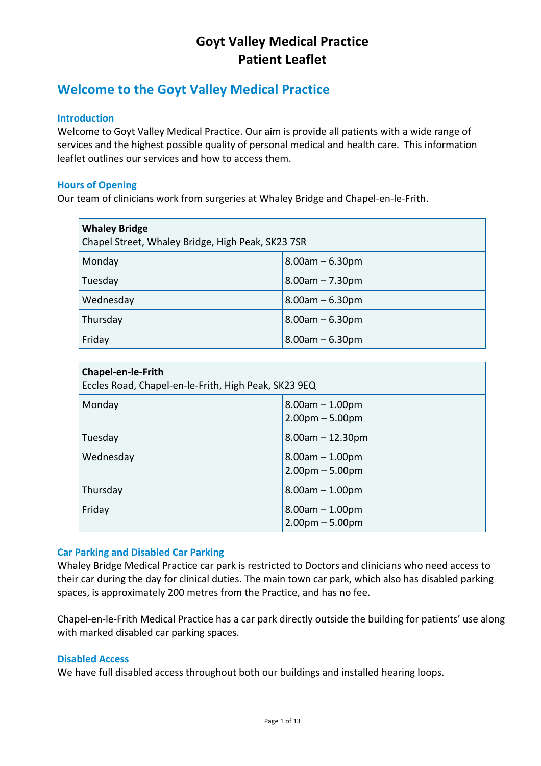## Welcome to the Goyt Valley Medical Practice

#### **Introduction**

Welcome to Goyt Valley Medical Practice. Our aim is provide all patients with a wide range of services and the highest possible quality of personal medical and health care. This information leaflet
outlines our
services
and
how
to access
them.

#### **Hours
of
Opening**

Our team of clinicians work from surgeries at Whaley Bridge and Chapel-en-le-Frith.

| <b>Whaley Bridge</b><br>Chapel Street, Whaley Bridge, High Peak, SK23 7SR |                       |  |
|---------------------------------------------------------------------------|-----------------------|--|
| Monday                                                                    | $8.00am - 6.30pm$     |  |
| Tuesday                                                                   | $8.00am - 7.30pm$     |  |
| Wednesday                                                                 | $8.00$ am $- 6.30$ pm |  |
| Thursday                                                                  | $8.00$ am $- 6.30$ pm |  |
| Friday                                                                    | $8.00am - 6.30pm$     |  |

| <b>Chapel-en-le-Frith</b><br>Eccles Road, Chapel-en-le-Frith, High Peak, SK23 9EQ |                                        |
|-----------------------------------------------------------------------------------|----------------------------------------|
| Monday                                                                            | $8.00am - 1.00pm$<br>$2.00pm - 5.00pm$ |
| Tuesday                                                                           | $8.00$ am $- 12.30$ pm                 |
| Wednesday                                                                         | $8.00am - 1.00pm$<br>$2.00pm - 5.00pm$ |
| Thursday                                                                          | $8.00am - 1.00pm$                      |
| Friday                                                                            | $8.00am - 1.00pm$<br>$2.00pm - 5.00pm$ |

#### **Car
Parking
and
Disabled
Car
Parking**

Whaley Bridge Medical Practice car park is restricted to Doctors and clinicians who need access to their
car
during
the
day
for
clinical
duties.
The
main
town
car
park,
which
also
has
disabled
parking spaces,
is
approximately
200
metres
from
the
Practice,
and
has
no
fee.

Chapel-en-le-Frith Medical Practice has a car park directly outside the building for patients' use along with
marked
disabled
car
parking
spaces.

#### **Disabled Access**

We have full disabled access throughout both our buildings and installed hearing loops.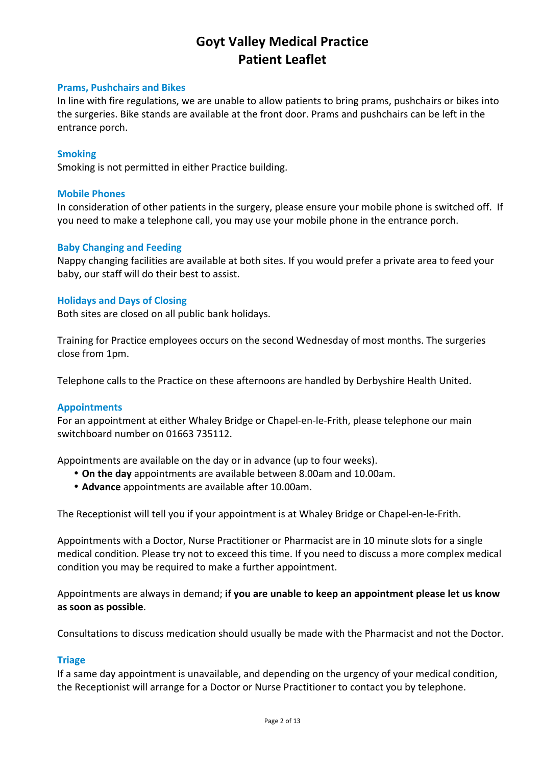#### **Prams,
Pushchairs
and
Bikes**

In line with fire regulations, we are unable to allow patients to bring prams, pushchairs or bikes into the surgeries. Bike stands are available at the front door. Prams and pushchairs can be left in the entrance
porch.

#### **Smoking**

Smoking
is
not
permitted
in
either
Practice
building.

#### **Mobile
Phones**

In consideration of other patients in the surgery, please ensure your mobile phone is switched off. If you
need
to
make
a
telephone
call,
you
may
use
your
mobile
phone
in
the
entrance
porch.

#### **Baby
Changing
and
Feeding**

Nappy changing facilities are available at both sites. If you would prefer a private area to feed your baby,
our
staff
will
do
their
best
to
assist.

#### **Holidays
and
Days
of
Closing**

Both
sites
are
closed
on
all
public
bank
holidays.

Training
for
Practice
employees
occurs
on
the
second
Wednesday
of
most
months.
The
surgeries close
from
1pm.

Telephone calls to the Practice on these afternoons are handled by Derbyshire Health United.

#### **Appointments**

For an appointment at either Whaley Bridge or Chapel-en-le-Frith, please telephone our main switchboard
number
on
01663
735112.

Appointments are available on the day or in advance (up to four weeks).

- On the day appointments are available between 8.00am and 10.00am.
- **Advance**appointments
are
available
after
10.00am.

The Receptionist will tell you if your appointment is at Whaley Bridge or Chapel-en-le-Frith.

Appointments with a Doctor, Nurse Practitioner or Pharmacist are in 10 minute slots for a single medical condition. Please try not to exceed this time. If you need to discuss a more complex medical condition
you
may
be
required
to
make
a
further
appointment.

Appointments are always in demand; if you are unable to keep an appointment please let us know **as
soon
as
possible**.

Consultations to discuss medication should usually be made with the Pharmacist and not the Doctor.

#### **Triage**

If a same day appointment is unavailable, and depending on the urgency of your medical condition, the
Receptionist
will
arrange
for
a
Doctor
or
Nurse
Practitioner
to
contact
you
by
telephone.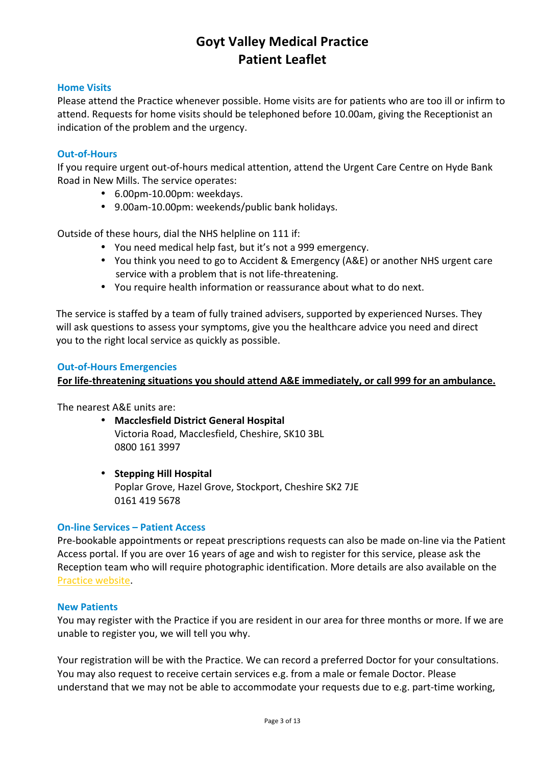#### **Home
Visits**

Please attend the Practice whenever possible. Home visits are for patients who are too ill or infirm to attend. Requests for home visits should be telephoned before 10.00am, giving the Receptionist an indication of the problem and the urgency.

#### **Out‐of‐Hours**

If you require urgent out-of-hours medical attention, attend the Urgent Care Centre on Hyde Bank Road
in
New
Mills.
The
service
operates:

- 6.00pm‐10.00pm:
weekdays.
- 9.00am‐10.00pm:
weekends/public
bank
holidays.

Outside of these hours, dial the NHS helpline on 111 if:

- You need medical help fast, but it's not a 999 emergency.
- You think you need to go to Accident & Emergency (A&E) or another NHS urgent care service with a problem that is not life-threatening.
- You require health information or reassurance about what to do next.

The service is staffed by a team of fully trained advisers, supported by experienced Nurses. They will ask questions to assess your symptoms, give you the healthcare advice you need and direct you
to
the
right
local
service
as
quickly
as
possible.

#### **Out‐of‐Hours
Emergencies**

#### For life-threatening situations you should attend A&E immediately, or call 999 for an ambulance.

The
nearest
A&E
units
are:

- **Macclesfield
District
General
Hospital** Victoria
Road,
Macclesfield,
Cheshire,
SK10
3BL 0800
161
3997
- **Stepping
Hill
Hospital** Poplar
Grove,
Hazel
Grove,
Stockport,
Cheshire
SK2
7JE 0161
419
5678

#### **On‐line
Services
–
Patient
Access**

Pre-bookable appointments or repeat prescriptions requests can also be made on-line via the Patient Access portal. If you are over 16 years of age and wish to register for this service, please ask the Reception team who will require photographic identification. More details are also available on the Practice
website.

#### **New
Patients**

You may register with the Practice if you are resident in our area for three months or more. If we are unable
to
register
you,
we
will
tell
you
why.

Your registration will be with the Practice. We can record a preferred Doctor for your consultations. You may also request to receive certain services e.g. from a male or female Doctor. Please understand that we may not be able to accommodate your requests due to e.g. part-time working,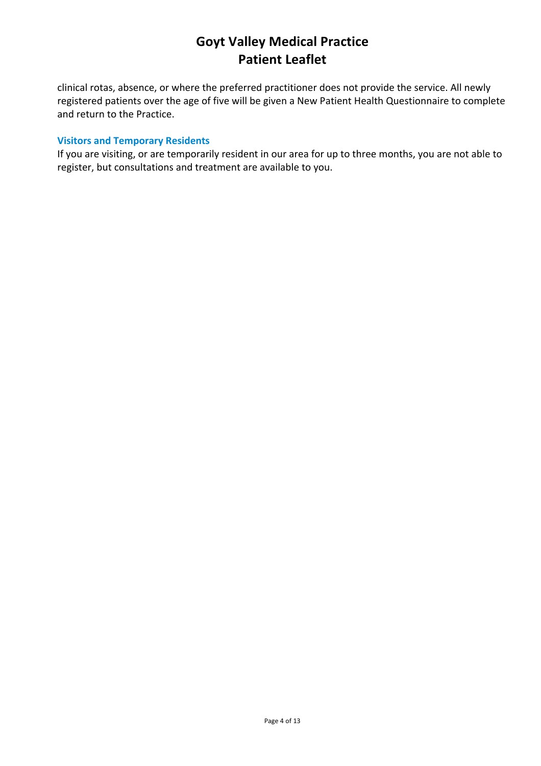clinical
rotas,
absence,
or
where
the
preferred
practitioner
does
not
provide
the
service.
All
newly registered
patients
over
the
age
of
five will
be
given
a
New
Patient
Health
Questionnaire
to
complete and return to the Practice.

#### **Visitors
and
Temporary
Residents**

If you are visiting, or are temporarily resident in our area for up to three months, you are not able to register,
but
consultations
and
treatment
are
available
to
you.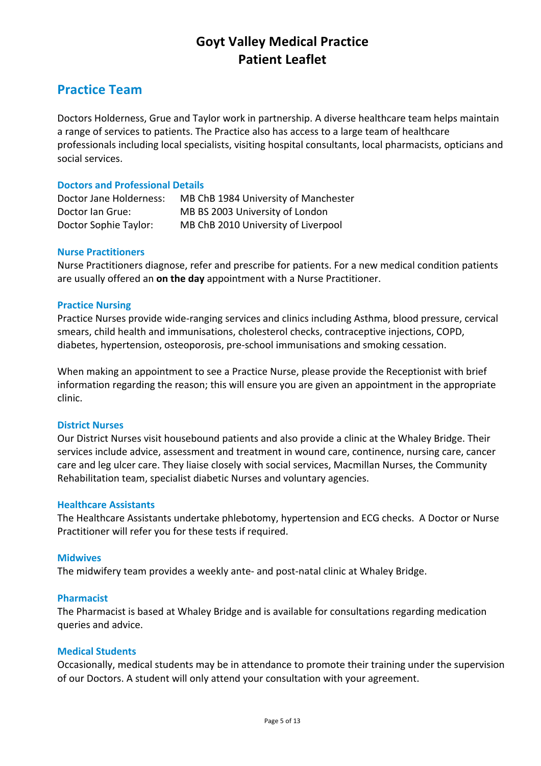## **Practice
Team**

Doctors Holderness, Grue and Taylor work in partnership. A diverse healthcare team helps maintain a range of services to patients. The Practice also has access to a large team of healthcare professionals including local specialists, visiting hospital consultants, local pharmacists, opticians and social
services.

#### **Doctors
and
Professional
Details**

| Doctor Jane Holderness: | MB ChB 1984 University of Manchester |
|-------------------------|--------------------------------------|
| Doctor Ian Grue:        | MB BS 2003 University of London      |
| Doctor Sophie Taylor:   | MB ChB 2010 University of Liverpool  |

#### **Nurse
Practitioners**

Nurse Practitioners diagnose, refer and prescribe for patients. For a new medical condition patients are usually offered an on the day appointment with a Nurse Practitioner.

#### **Practice
Nursing**

Practice Nurses provide wide-ranging services and clinics including Asthma, blood pressure, cervical smears,
child
health
and
immunisations,
cholesterol
checks,
contraceptive
injections,
COPD, diabetes,
hypertension,
osteoporosis,
pre‐school
immunisations
and
smoking
cessation.

When making an appointment to see a Practice Nurse, please provide the Receptionist with brief information regarding the reason; this will ensure you are given an appointment in the appropriate clinic.

#### **District
Nurses**

Our District Nurses visit housebound patients and also provide a clinic at the Whaley Bridge. Their services include advice, assessment and treatment in wound care, continence, nursing care, cancer care and leg ulcer care. They liaise closely with social services, Macmillan Nurses, the Community Rehabilitation team, specialist diabetic Nurses and voluntary agencies.

#### **Healthcare
Assistants**

The
Healthcare
Assistants
undertake
phlebotomy,
hypertension
and
ECG
checks.

A
Doctor
or
Nurse Practitioner
will
refer
you
for
these
tests
if
required.

#### **Midwives**

The midwifery team provides a weekly ante- and post-natal clinic at Whaley Bridge.

#### **Pharmacist**

The
Pharmacist
is
based
at
Whaley
Bridge
and
is
available
for
consultations
regarding
medication queries
and
advice.

#### **Medical
Students**

Occasionally, medical students may be in attendance to promote their training under the supervision of our Doctors. A student will only attend your consultation with your agreement.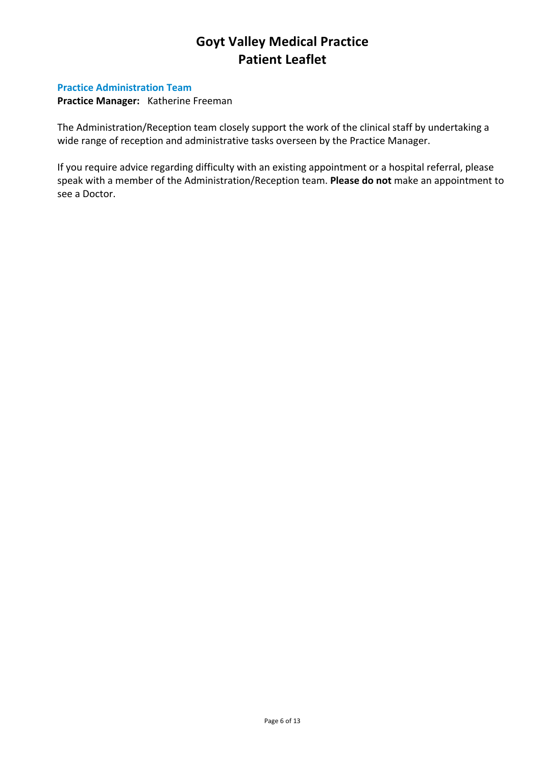#### **Practice
Administration
Team**

Practice Manager: Katherine Freeman

The Administration/Reception team closely support the work of the clinical staff by undertaking a wide range of reception and administrative tasks overseen by the Practice Manager.

If you require advice regarding difficulty with an existing appointment or a hospital referral, please speak with a member of the Administration/Reception team. Please do not make an appointment to see
a
Doctor.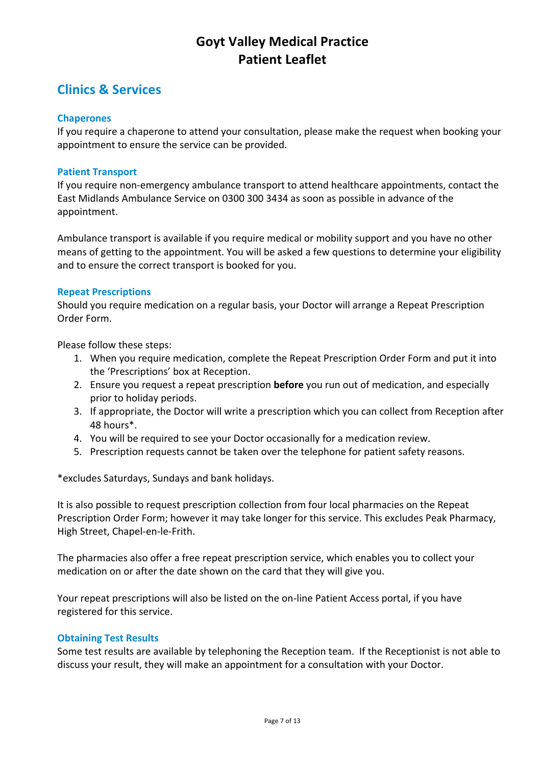## **Clinics
&
Services**

#### **Chaperones**

If you require a chaperone to attend your consultation, please make the request when booking your appointment
to
ensure
the
service
can
be
provided.

#### **Patient
Transport**

If you require non-emergency ambulance transport to attend healthcare appointments, contact the East Midlands Ambulance Service on 0300 300 3434 as soon as possible in advance of the appointment.

Ambulance transport is available if you require medical or mobility support and you have no other means of getting to the appointment. You will be asked a few questions to determine your eligibility and
to
ensure
the
correct
transport
is
booked
for
you.

#### **Repeat
Prescriptions**

Should
you require
medication
on
a
regular
basis,
your
Doctor
will
arrange a
Repeat
Prescription Order
Form.

Please
follow
these
steps:

- 1. When you require medication, complete the Repeat Prescription Order Form and put it into the
'Prescriptions'
box
at Reception.
- 2. Ensure you request a repeat prescription **before** you run out of medication, and especially prior
to
holiday
periods.
- 3. If
appropriate,
the
Doctor
will
write
a
prescription which
you
can
collect
from
Reception after 48
hours\*.
- 4. You
will
be
required
to
see
your
Doctor
occasionally
for
a
medication
review.
- 5. Prescription requests cannot be taken over the telephone for patient safety reasons.

\*excludes
Saturdays,
Sundays
and
bank
holidays.

It is also possible to request prescription collection from four local pharmacies on the Repeat Prescription Order Form; however it may take longer for this service. This excludes Peak Pharmacy, High
Street,
Chapel‐en‐le‐Frith.

The pharmacies also offer a free repeat prescription service, which enables you to collect your medication on or after the date shown on the card that they will give you.

Your repeat prescriptions will also be listed on the on-line Patient Access portal, if you have registered
for
this
service.

#### **Obtaining
Test
Results**

Some test results are available by telephoning the Reception team. If the Receptionist is not able to discuss your result, they will make an appointment for a consultation with your Doctor.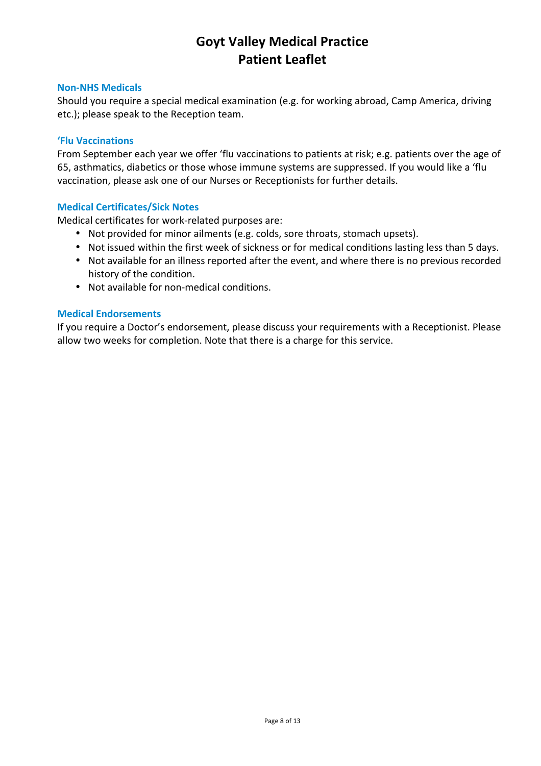#### **Non‐NHS
Medicals**

Should
you
require
a
special
medical
examination
(e.g.
for
working
abroad,
Camp
America,
driving etc.); please speak to the Reception team.

#### **'Flu
Vaccinations**

From September each year we offer 'flu vaccinations to patients at risk; e.g. patients over the age of 65, asthmatics, diabetics or those whose immune systems are suppressed. If you would like a 'flu vaccination,
please
ask
one
of
our
Nurses
or
Receptionists
for
further
details.

#### **Medical
Certificates/Sick
Notes**

Medical
certificates
for
work‐related
purposes
are:

- Not provided for minor ailments (e.g. colds, sore throats, stomach upsets).
- Not issued within the first week of sickness or for medical conditions lasting less than 5 days.
- Not available for an illness reported after the event, and where there is no previous recorded history
of
the
condition.
- Not available for non-medical conditions.

#### **Medical
Endorsements**

If you require a Doctor's endorsement, please discuss your requirements with a Receptionist. Please allow two weeks for completion. Note that there is a charge for this service.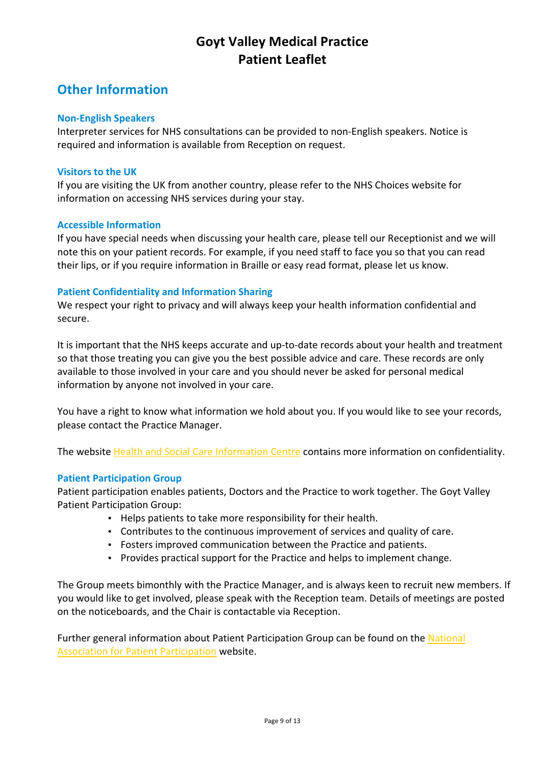## **Other
Information**

#### **Non‐English
Speakers**

Interpreter services for NHS consultations can be provided to non-English speakers. Notice is required and information is available from Reception on request.

#### **Visitors to the UK**

If you are visiting the UK from another country, please refer to the NHS Choices website for information
on
accessing
NHS
services
during
your
stay.

#### **Accessible
Information**

If you have special needs when discussing your health care, please tell our Receptionist and we will note this on your patient records. For example, if you need staff to face you so that you can read their lips, or if you require information in Braille or easy read format, please let us know.

#### **Patient
Confidentiality
and
Information
Sharing**

We respect your right to privacy and will always keep your health information confidential and secure.

It is important that the NHS keeps accurate and up-to-date records about your health and treatment so that those treating you can give you the best possible advice and care. These records are only available to those involved in your care and you should never be asked for personal medical information
by
anyone
not
involved
in
your
care.

You have a right to know what information we hold about you. If you would like to see your records, please
contact
the
Practice
Manager.

The website Health and Social Care Information Centre contains more information on confidentiality.

#### **Patient
Participation Group**

Patient participation enables patients, Doctors and the Practice to work together. The Goyt Valley Patient
Participation
Group:

- Helps patients to take more responsibility for their health.
- Contributes to the continuous improvement of services and quality of care.
- Fosters
improved
communication
between
the
Practice
and
patients.
- Provides practical support for the Practice and helps to implement change.

The Group meets bimonthly with the Practice Manager, and is always keen to recruit new members. If you
would
like
to
get
involved,
please
speak
with
the
Reception
team.
Details
of
meetings
are
posted on
the
noticeboards,
and
the
Chair
is
contactable
via
Reception.

Further general information about Patient Participation Group can be found on the National Association
for
Patient
Participation website.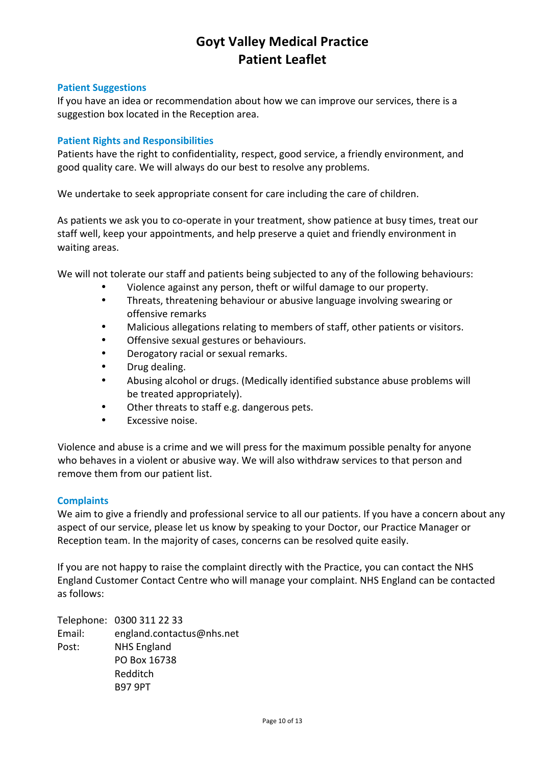#### **Patient
Suggestions**

If you have an idea or recommendation about how we can improve our services, there is a suggestion
box
located
in
the
Reception
area.

#### **Patient
Rights
and
Responsibilities**

Patients have the right to confidentiality, respect, good service, a friendly environment, and good
quality
care.
We
will
always
do
our
best
to
resolve
any
problems.

We undertake to seek appropriate consent for care including the care of children.

As patients we ask you to co-operate in your treatment, show patience at busy times, treat our staff well, keep your appointments, and help preserve a quiet and friendly environment in waiting
areas.

We will not tolerate our staff and patients being subjected to any of the following behaviours:

- Violence against any person, theft or wilful damage to our property.
- Threats, threatening behaviour or abusive language involving swearing or offensive
remarks
- Malicious allegations relating to members of staff, other patients or visitors.
- Offensive sexual gestures or behaviours.
- Derogatory racial or sexual remarks.
- Drug
dealing.
- Abusing alcohol or drugs. (Medically identified substance abuse problems will be
treated
appropriately).
- Other threats to staff e.g. dangerous pets.
- Excessive
noise.

Violence and abuse is a crime and we will press for the maximum possible penalty for anyone who behaves in a violent or abusive way. We will also withdraw services to that person and remove
them
from
our
patient
list.

#### **Complaints**

We aim to give a friendly and professional service to all our patients. If you have a concern about any aspect of our service, please let us know by speaking to your Doctor, our Practice Manager or Reception team. In the majority of cases, concerns can be resolved quite easily.

If you are not happy to raise the complaint directly with the Practice, you can contact the NHS England Customer Contact Centre who will manage your complaint. NHS England can be contacted as
follows:

Telephone: 0300
311
22
33 Email: england.contactus@nhs.net Post: NHS
England PO
Box
16738 Redditch B97
9PT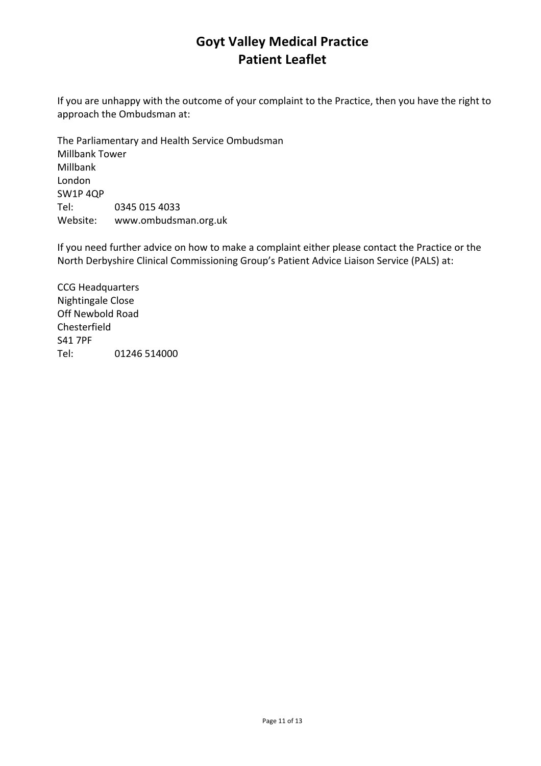If you are unhappy with the outcome of your complaint to the Practice, then you have the right to approach
the
Ombudsman
at:

The
Parliamentary
and
Health
Service
Ombudsman Millbank
Tower Millbank London SW1P
4QP Tel: 0345
015
4033 Website: www.ombudsman.org.uk

If you need further advice on how to make a complaint either please contact the Practice or the North
Derbyshire
Clinical
Commissioning
Group's
Patient
Advice
Liaison
Service
(PALS)
at:

CCG
Headquarters Nightingale
Close Off
Newbold
Road Chesterfield S41
7PF Tel: 01246
514000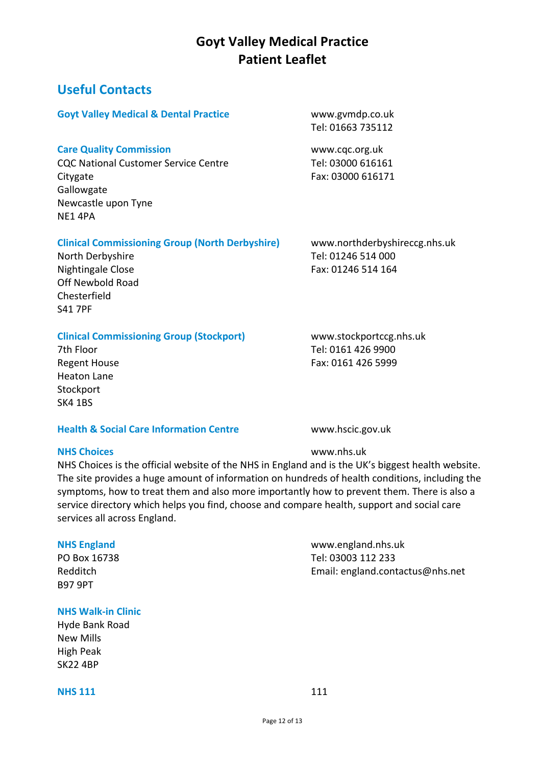## **Useful
Contacts**

#### **Goyt
Valley
Medical
&
Dental
Practice** www.gvmdp.co.uk

#### **Care Quality Commission Care Quality Commission**

CQC National Customer Service Centre<br>
Tel: 03000 616161 Citygate **Fax:** 03000 616171 **Gallowgate** Newcastle
upon
Tyne NE1
4PA

# Tel:
01663
735112

### Clinical Commissioning Group (North Derbyshire) www.northderbyshireccg.nhs.uk

North Derbyshire Tel: 01246 514 000 Off
Newbold
Road Chesterfield S41
7PF

### Clinical Commissioning Group (Stockport) www.stockportccg.nhs.uk

Heaton
Lane Stockport SK4
1BS

### **Health & Social Care Information Centre** www.hscic.gov.uk

### **NHS
Choices** www.nhs.uk

NHS Choices is the official website of the NHS in England and is the UK's biggest health website. The site provides a huge amount of information on hundreds of health conditions, including the symptoms, how to treat them and also more importantly how to prevent them. There is also a service directory which helps you find, choose and compare health, support and social care services
all
across
England.

B97
9PT

#### **NHS
Walk‐in
Clinic**

Hyde
Bank
Road New
Mills High
Peak SK22
4BP

#### **NHS** 111 111

Nightingale Close Fax: 01246 514 164

7th
Floor Tel:
0161
426 9900 Regent House **Fax:** 0161 426 5999

**NHS
England** www.england.nhs.uk PO Box 16738 Tel: 03003 112 233 Redditch Email:
england.contactus@nhs.net